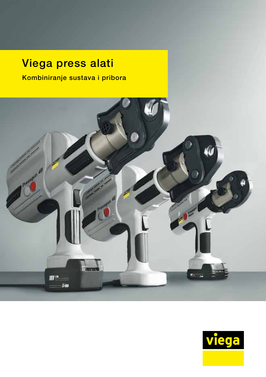## Viega press alati

Kombiniranje sustava i pribora



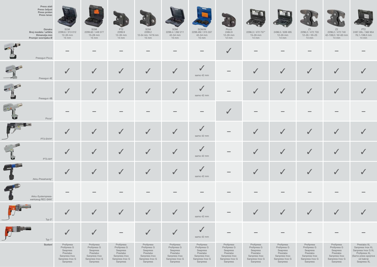| Press alati<br>Press čeljust<br>Press prsten<br>Press lanac            |                                                                                                    |                                                                                                    |                                                                                                    |                                                                                                    |                                                                                                    |                                                                                                    |                                                                                                    |                                                                                                    |                                                                                                    |                                                                                                    |                                                                                                    |                                                                                                                            |
|------------------------------------------------------------------------|----------------------------------------------------------------------------------------------------|----------------------------------------------------------------------------------------------------|----------------------------------------------------------------------------------------------------|----------------------------------------------------------------------------------------------------|----------------------------------------------------------------------------------------------------|----------------------------------------------------------------------------------------------------|----------------------------------------------------------------------------------------------------|----------------------------------------------------------------------------------------------------|----------------------------------------------------------------------------------------------------|----------------------------------------------------------------------------------------------------|----------------------------------------------------------------------------------------------------|----------------------------------------------------------------------------------------------------------------------------|
| Oznaka<br>Broj modela / artikla<br>Dimenzija mm<br>Promjer svornjaka Ø | SOM<br>2299.6 / 313 012<br>12-35 mm<br>$15 \text{ mm}$                                             | SOM<br>2299.62 / 449 377<br>15-28 mm<br>$15 \text{ mm}$                                            | PT <sub>2</sub><br>2299.9<br>12-35 mm<br>$14 \text{ mm}$                                           | SOM<br>2299.2<br>12-54 mm, 14/16 mm<br>$15 \text{ mm}$                                             | SOM<br>2299.4 / 262 211<br>42-54 mm<br>$15 \text{ mm}$                                             | SOM/M<br>2299.4M / 315 337<br>42-54 mm<br>$15 \text{ mm}$                                          | Picco<br>2484.9<br>12-35 mm<br>$12 \text{ mm}$                                                     | 2296.3 / 472 757*<br>15-35 mm<br>$14 \text{ mm}$                                                   | 2496.5 / 639 495<br>12-35 mm<br>$14 \text{ mm}$                                                    | Z1<br>2296.2 / 472 733<br>$12 - 35 / 20 - 25$<br>$14 \text{ mm}$                                   | Z2<br>2296.2 / 472 740<br>42-108,0 / 32-63 mm<br>14 mm                                             | PT <sub>2</sub><br>2497.3XL / 562 854<br>76,1-108,0 mm<br>$14 \text{ mm}$                                                  |
| Pressgun Picco                                                         |                                                                                                    |                                                                                                    |                                                                                                    |                                                                                                    |                                                                                                    |                                                                                                    | $\checkmark$                                                                                       |                                                                                                    |                                                                                                    |                                                                                                    |                                                                                                    |                                                                                                                            |
| Pressgun 4E                                                            |                                                                                                    | $\sqrt{}$                                                                                          |                                                                                                    |                                                                                                    | $\checkmark$                                                                                       | samo 42 mm                                                                                         |                                                                                                    |                                                                                                    | $\checkmark$                                                                                       |                                                                                                    |                                                                                                    |                                                                                                                            |
| Pressgun 4B                                                            |                                                                                                    | $\checkmark$                                                                                       |                                                                                                    |                                                                                                    | $\checkmark$                                                                                       | samo 42 mm                                                                                         |                                                                                                    | $\mathbf{v}$                                                                                       |                                                                                                    |                                                                                                    |                                                                                                    |                                                                                                                            |
| $Picco*$                                                               |                                                                                                    |                                                                                                    |                                                                                                    |                                                                                                    |                                                                                                    |                                                                                                    |                                                                                                    |                                                                                                    |                                                                                                    |                                                                                                    |                                                                                                    |                                                                                                                            |
| PT3-EH/H*                                                              |                                                                                                    | $\checkmark$                                                                                       |                                                                                                    |                                                                                                    | $\checkmark$                                                                                       | samo 42 mm                                                                                         |                                                                                                    |                                                                                                    |                                                                                                    | $\checkmark$                                                                                       |                                                                                                    |                                                                                                                            |
| PT3-AH*                                                                |                                                                                                    | $\checkmark$                                                                                       |                                                                                                    |                                                                                                    | $\checkmark$                                                                                       | samo 42 mm                                                                                         |                                                                                                    | $\sqrt{2}$                                                                                         |                                                                                                    |                                                                                                    |                                                                                                    |                                                                                                                            |
| Akku-Presshandy*                                                       |                                                                                                    |                                                                                                    |                                                                                                    |                                                                                                    |                                                                                                    | samo 42 mm                                                                                         |                                                                                                    |                                                                                                    |                                                                                                    |                                                                                                    |                                                                                                    |                                                                                                                            |
| Akku-Systempress-<br>werkzeug REC-SAN*                                 |                                                                                                    |                                                                                                    |                                                                                                    |                                                                                                    |                                                                                                    |                                                                                                    |                                                                                                    |                                                                                                    |                                                                                                    |                                                                                                    |                                                                                                    |                                                                                                                            |
| Typ $2^*$                                                              |                                                                                                    | $\checkmark$                                                                                       | $\checkmark$                                                                                       | $\checkmark$                                                                                       | $\checkmark$                                                                                       | samo 42 mm                                                                                         |                                                                                                    |                                                                                                    | V                                                                                                  | $\checkmark$                                                                                       |                                                                                                    |                                                                                                                            |
| Typ $1^*$                                                              |                                                                                                    | $\checkmark$                                                                                       |                                                                                                    |                                                                                                    | $\checkmark$                                                                                       | $\checkmark$<br>samo 42 mm                                                                         |                                                                                                    |                                                                                                    |                                                                                                    |                                                                                                    |                                                                                                    |                                                                                                                            |
| Sustavi                                                                | Profipress<br>Profipress G<br>Seapress<br>Prestabo<br>Sanpress Inox<br>Sanpress Inox G<br>Sanpress | Profipress<br>Profipress G<br>Seapress<br>Prestabo<br>Sanpress Inox<br>Sanpress Inox G<br>Sanpress | Profipress<br>Profipress G<br>Seapress<br>Prestabo<br>Sanpress Inox<br>Sanpress Inox G<br>Sanpress | Profipress<br>Profipress G<br>Seapress<br>Prestabo<br>Sanpress Inox<br>Sanpress Inox G<br>Sanpress | Profipress<br>Profipress G<br>Seapress<br>Prestabo<br>Sanpress Inox<br>Sanpress Inox G<br>Sanpress | Profipress<br>Profipress G<br>Seapress<br>Prestabo<br>Sanpress Inox<br>Sanpress Inox G<br>Sanpress | Profipress<br>Profipress G<br>Seapress<br>Prestabo<br>Sanpress Inox<br>Sanpress Inox G<br>Sanpress | Profipress<br>Profipress G<br>Seapress<br>Prestabo<br>Sanpress Inox<br>Sanpress Inox G<br>Sanpress | Profipress<br>Profipress G<br>Seapress<br>Prestabo<br>Sanpress Inox<br>Sanpress Inox G<br>Sanpress | Profipress<br>Profipress G<br>Seapress<br>Prestabo<br>Sanpress Inox<br>Sanpress Inox G<br>Sanpress | Profipress<br>Profipress G<br>Seapress<br>Prestabo<br>Sanpress Inox<br>Sanpress Inox G<br>Sanpress | Prestabo XL<br>Sanpress Inox XL<br>Sanpress Inox G XL<br>Profipress XL<br>(Samo press spojnice<br>od bakra)<br>Seapress XL |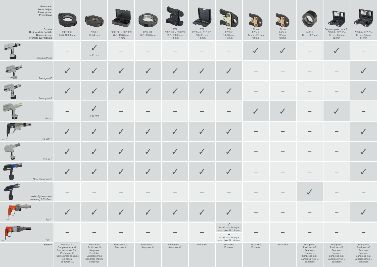| Press alati<br>Press čeljust<br>Press prsten<br>Press lanac<br>Oznaka |                                                                                                                            |                                                                                                    |                                                        |                              | PT2<br>2297.1XL / 359 232        | PT <sub>2</sub>                                    | PT <sub>2</sub>                                                                                            | Picco                                    | Picco                              |                                                                                                    | Set press prstenova + P1                                                                           |                                                                                                    |
|-----------------------------------------------------------------------|----------------------------------------------------------------------------------------------------------------------------|----------------------------------------------------------------------------------------------------|--------------------------------------------------------|------------------------------|----------------------------------|----------------------------------------------------|------------------------------------------------------------------------------------------------------------|------------------------------------------|------------------------------------|----------------------------------------------------------------------------------------------------|----------------------------------------------------------------------------------------------------|----------------------------------------------------------------------------------------------------|
| Broj modela / artikla<br>Dimenzija mm<br>Promjer svornjaka Ø          | 2497.2XL<br>64,0-108,0 mm                                                                                                  | 2296.1<br>12-54 mm                                                                                 | 2297.3XL / 362 959<br>76,1-108,0 mm<br>$14 \text{ mm}$ | 2297.2XL<br>76,1-108,0 mm    | 76,1-108,0 mm<br>$14 \text{ mm}$ | 2299.41 / 612 191<br>50 i 63 mm<br>$14 \text{ mm}$ | 2799.7<br>14-63 mm<br>$14 \text{ mm}$                                                                      | 2784.7<br>14 mm-25 mm<br>$12 \text{ mm}$ | 2484.7<br>32 mm<br>$12 \text{ mm}$ | 2499.2<br>12 mm-22 mm                                                                              | 2496.3 / 622 664<br>12 mm-35 mm<br>$12 \text{ mm}$                                                 | 2296.4 / 472 764<br>42 mm-54 mm<br>$14 \text{ mm}$                                                 |
| Pressgun Picco                                                        |                                                                                                                            | $\checkmark$<br>$\leq$ 35 mm                                                                       |                                                        |                              |                                  |                                                    |                                                                                                            |                                          | $\checkmark$                       |                                                                                                    |                                                                                                    |                                                                                                    |
| Pressgun 4E                                                           |                                                                                                                            | $\checkmark$                                                                                       | $\sqrt{2}$                                             | $\checkmark$                 | $\checkmark$                     |                                                    | $\checkmark$                                                                                               |                                          |                                    |                                                                                                    |                                                                                                    |                                                                                                    |
| Pressgun 4B                                                           |                                                                                                                            | $\checkmark$                                                                                       |                                                        | $\checkmark$                 | $\checkmark$                     |                                                    | $\checkmark$                                                                                               |                                          |                                    |                                                                                                    |                                                                                                    |                                                                                                    |
| Picco*                                                                |                                                                                                                            | $\checkmark$<br>$\leq$ 35 mm                                                                       |                                                        |                              |                                  |                                                    |                                                                                                            |                                          | $\checkmark$                       |                                                                                                    |                                                                                                    |                                                                                                    |
| PT3-EH/H*                                                             |                                                                                                                            | $\checkmark$                                                                                       |                                                        | $\checkmark$                 | $\checkmark$                     | $\sqrt{2}$                                         | $\checkmark$                                                                                               |                                          |                                    |                                                                                                    |                                                                                                    |                                                                                                    |
| PT3-AH*                                                               |                                                                                                                            | $\sqrt{}$                                                                                          |                                                        | $\sqrt{}$                    | $\checkmark$                     | $\checkmark$                                       | $\checkmark$                                                                                               |                                          |                                    |                                                                                                    |                                                                                                    |                                                                                                    |
| Akku-Presshandy*                                                      |                                                                                                                            |                                                                                                    |                                                        |                              |                                  |                                                    |                                                                                                            |                                          |                                    |                                                                                                    |                                                                                                    |                                                                                                    |
| Akku-Systempress-<br>werkzeug REC-SAN*                                |                                                                                                                            |                                                                                                    |                                                        |                              |                                  |                                                    |                                                                                                            |                                          |                                    |                                                                                                    |                                                                                                    |                                                                                                    |
| Typ $2^*$                                                             |                                                                                                                            | $\checkmark$                                                                                       |                                                        | $\checkmark$                 | $\checkmark$                     | $\checkmark$                                       | $\checkmark$                                                                                               |                                          |                                    |                                                                                                    |                                                                                                    |                                                                                                    |
| Typ $1^*$                                                             |                                                                                                                            |                                                                                                    |                                                        |                              |                                  |                                                    | $\checkmark$<br>14-32 mm Promjer<br>svornjaka Ø: 15 mm<br>$\sim$<br>40-63 mm Promjer<br>svornjaka Ø: 14 mm |                                          |                                    |                                                                                                    |                                                                                                    |                                                                                                    |
| Sustavi                                                               | Prestabo XL<br>Sanpress Inox XL<br>Sanpress Inox G XL<br>Profipress XL<br>(Samo press spojnice<br>od bakra)<br>Seapress XL | Profipress<br>Profipress G<br>Seapress<br>Prestabo<br>Sanpress Inox<br>Sanpress Inox G<br>Sanpress | Profipress XL<br>Sanpress XL                           | Profipress XL<br>Sanpress XL | Profipress XL<br>Sanpress XL     | Pexfit Pro                                         | Pexfit Pro<br>Fonterra                                                                                     | Pexfit Pro<br>Fonterra                   | Pexfit Pro                         | Profipress<br>Profipress G<br>Seapress<br>Prestabo<br>Sanpress Inox<br>Sanpress Inox G<br>Sanpress | Profipress<br>Profipress G<br>Seapress<br>Prestabo<br>Sanpress Inox<br>Sanpress Inox G<br>Sanpress | Profipress<br>Profipress G<br>Seapress<br>Prestabo<br>Sanpress Inox<br>Sanpress Inox G<br>Sanpress |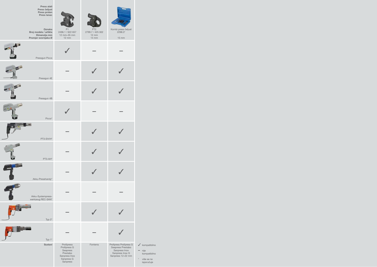| Press alati<br>Press čeljust<br>Press prsten<br>Press lanac<br>Oznaka<br>Broj modela / artikla<br>Dimenzija mm<br>Promjer svornjaka Ø | P1<br>2496.1 / 622 657<br>12 mm-35 mm<br>12 mm                                                | PT <sub>2</sub><br>2799.7 / 425 302<br>$12 \, \text{mm}$<br>$14 \text{ mm}$ | Kombi press čeljust<br>2298.3*<br>$15 \text{ mm}$                                                     |                                                                                                |
|---------------------------------------------------------------------------------------------------------------------------------------|-----------------------------------------------------------------------------------------------|-----------------------------------------------------------------------------|-------------------------------------------------------------------------------------------------------|------------------------------------------------------------------------------------------------|
| Pressgun Picco                                                                                                                        |                                                                                               |                                                                             |                                                                                                       |                                                                                                |
| Pressgun 4E                                                                                                                           |                                                                                               |                                                                             |                                                                                                       |                                                                                                |
| Pressgun 4B                                                                                                                           |                                                                                               |                                                                             |                                                                                                       |                                                                                                |
| Picco*                                                                                                                                |                                                                                               |                                                                             |                                                                                                       |                                                                                                |
| PT3-EH/H*                                                                                                                             |                                                                                               |                                                                             |                                                                                                       |                                                                                                |
| PT3-AH*                                                                                                                               |                                                                                               |                                                                             |                                                                                                       |                                                                                                |
| Akku-Presshandy'                                                                                                                      |                                                                                               |                                                                             |                                                                                                       |                                                                                                |
| Akku-Systempress-<br>werkzeug REC-SAN*                                                                                                |                                                                                               |                                                                             |                                                                                                       |                                                                                                |
| Typ $2^*$                                                                                                                             |                                                                                               |                                                                             |                                                                                                       |                                                                                                |
| Typ 1*                                                                                                                                |                                                                                               |                                                                             |                                                                                                       |                                                                                                |
| Sustavi                                                                                                                               | Profipress<br>Profipress G<br>Seapress<br>Prestabo<br>Sanpress Inox<br>Sanpress G<br>Sanpress | Fonterra                                                                    | Profipress Profipress G<br>Seapress Prestabo<br>Sanpress Inox<br>Sanpress Inox G<br>Sanpress 12-22 mm | $\checkmark$ kompatibilno<br>nije<br>-<br>kompatibilno<br>$^\star$<br>više se ne<br>isporučuje |